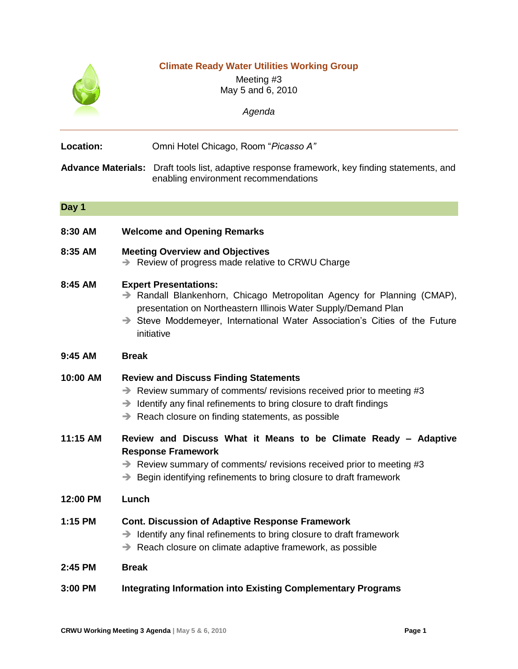|           | <b>Climate Ready Water Utilities Working Group</b><br>Meeting #3<br>May 5 and 6, 2010<br>Agenda                                                                                                                                                                                               |
|-----------|-----------------------------------------------------------------------------------------------------------------------------------------------------------------------------------------------------------------------------------------------------------------------------------------------|
| Location: | Omni Hotel Chicago, Room "Picasso A"                                                                                                                                                                                                                                                          |
|           | Advance Materials: Draft tools list, adaptive response framework, key finding statements, and<br>enabling environment recommendations                                                                                                                                                         |
| Day 1     |                                                                                                                                                                                                                                                                                               |
| 8:30 AM   | <b>Welcome and Opening Remarks</b>                                                                                                                                                                                                                                                            |
| 8:35 AM   | <b>Meeting Overview and Objectives</b><br>Review of progress made relative to CRWU Charge<br>→                                                                                                                                                                                                |
| 8:45 AM   | <b>Expert Presentations:</b><br>$\rightarrow$ Randall Blankenhorn, Chicago Metropolitan Agency for Planning (CMAP),<br>presentation on Northeastern Illinois Water Supply/Demand Plan<br>$\rightarrow$ Steve Moddemeyer, International Water Association's Cities of the Future<br>initiative |
| 9:45 AM   | <b>Break</b>                                                                                                                                                                                                                                                                                  |
| 10:00 AM  | <b>Review and Discuss Finding Statements</b><br>$\rightarrow$ Review summary of comments/ revisions received prior to meeting #3<br>Identify any final refinements to bring closure to draft findings<br>→<br>Reach closure on finding statements, as possible<br>→                           |
| 11:15 AM  | Review and Discuss What it Means to be Climate Ready - Adaptive<br><b>Response Framework</b><br>$\rightarrow$ Review summary of comments/ revisions received prior to meeting #3<br>Begin identifying refinements to bring closure to draft framework<br>$\rightarrow$                        |
| 12:00 PM  | Lunch                                                                                                                                                                                                                                                                                         |
| 1:15 PM   | <b>Cont. Discussion of Adaptive Response Framework</b><br>Identify any final refinements to bring closure to draft framework<br>→<br>Reach closure on climate adaptive framework, as possible<br>$\rightarrow$                                                                                |
| 2:45 PM   | <b>Break</b>                                                                                                                                                                                                                                                                                  |
| 3:00 PM   | <b>Integrating Information into Existing Complementary Programs</b>                                                                                                                                                                                                                           |